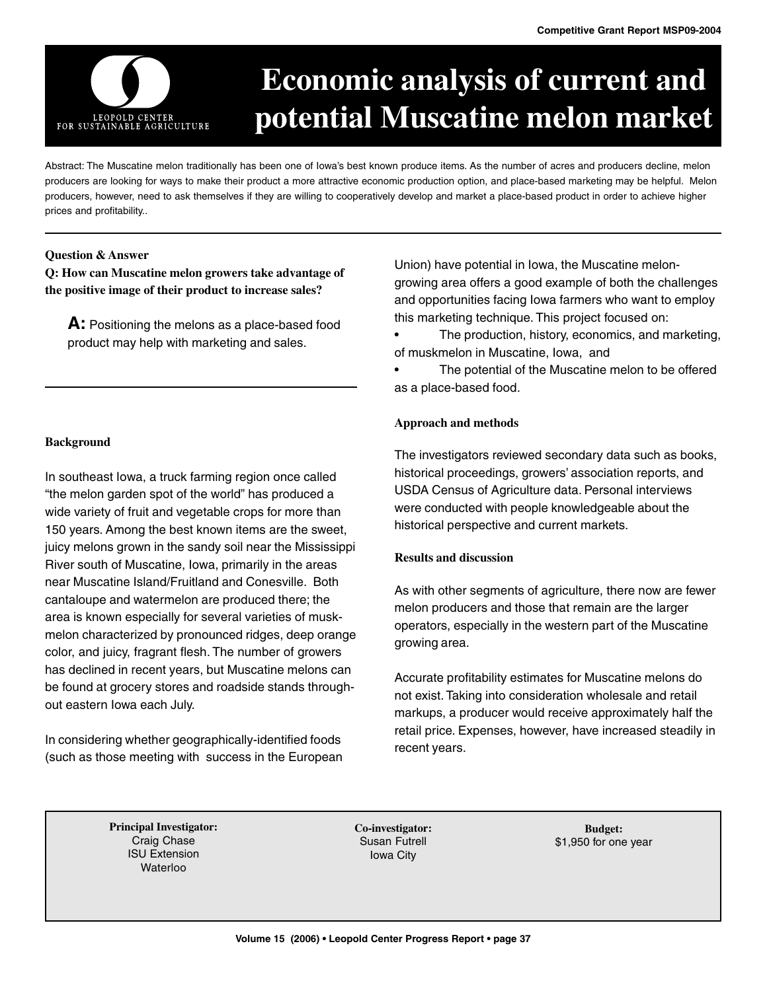

# **Economic analysis of current and potential Muscatine melon market**

Abstract: The Muscatine melon traditionally has been one of Iowa's best known produce items. As the number of acres and producers decline, melon producers are looking for ways to make their product a more attractive economic production option, and place-based marketing may be helpful. Melon producers, however, need to ask themselves if they are willing to cooperatively develop and market a place-based product in order to achieve higher prices and profitability..

#### **Question & Answer**

**Q: How can Muscatine melon growers take advantage of the positive image of their product to increase sales?**

**A:** Positioning the melons as a place-based food product may help with marketing and sales.

#### **Background**

In southeast Iowa, a truck farming region once called "the melon garden spot of the world" has produced a wide variety of fruit and vegetable crops for more than 150 years. Among the best known items are the sweet, juicy melons grown in the sandy soil near the Mississippi River south of Muscatine, Iowa, primarily in the areas near Muscatine Island/Fruitland and Conesville. Both cantaloupe and watermelon are produced there; the area is known especially for several varieties of muskmelon characterized by pronounced ridges, deep orange color, and juicy, fragrant flesh. The number of growers has declined in recent years, but Muscatine melons can be found at grocery stores and roadside stands throughout eastern Iowa each July.

In considering whether geographically-identified foods (such as those meeting with success in the European Union) have potential in Iowa, the Muscatine melongrowing area offers a good example of both the challenges and opportunities facing Iowa farmers who want to employ this marketing technique. This project focused on:

• The production, history, economics, and marketing, of muskmelon in Muscatine, Iowa, and

The potential of the Muscatine melon to be offered as a place-based food.

#### **Approach and methods**

The investigators reviewed secondary data such as books, historical proceedings, growers' association reports, and USDA Census of Agriculture data. Personal interviews were conducted with people knowledgeable about the historical perspective and current markets.

## **Results and discussion**

As with other segments of agriculture, there now are fewer melon producers and those that remain are the larger operators, especially in the western part of the Muscatine growing area.

Accurate profitability estimates for Muscatine melons do not exist. Taking into consideration wholesale and retail markups, a producer would receive approximately half the retail price. Expenses, however, have increased steadily in recent years.

**Principal Investigator:** Craig Chase ISU Extension Waterloo

**Co-investigator:** Susan Futrell Iowa City

**Budget:** \$1,950 for one year